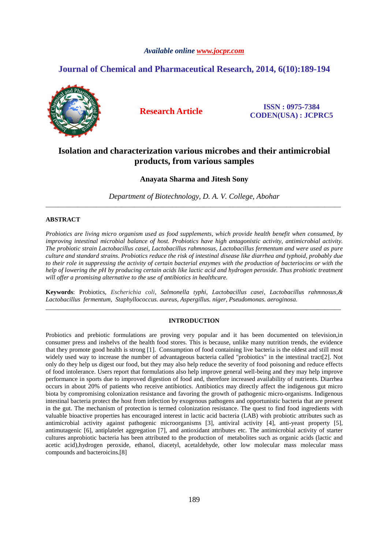# *Available online www.jocpr.com*

# **Journal of Chemical and Pharmaceutical Research, 2014, 6(10):189-194**



**Research Article ISSN : 0975-7384 CODEN(USA) : JCPRC5**

# **Isolation and characterization various microbes and their antimicrobial products, from various samples**

# **Anayata Sharma and Jitesh Sony**

*Department of Biotechnology, D. A. V. College, Abohar*  \_\_\_\_\_\_\_\_\_\_\_\_\_\_\_\_\_\_\_\_\_\_\_\_\_\_\_\_\_\_\_\_\_\_\_\_\_\_\_\_\_\_\_\_\_\_\_\_\_\_\_\_\_\_\_\_\_\_\_\_\_\_\_\_\_\_\_\_\_\_\_\_\_\_\_\_\_\_\_\_\_\_\_\_\_\_\_\_\_\_\_\_\_

# **ABSTRACT**

*Probiotics are living micro organism used as food supplements, which provide health benefit when consumed, by improving intestinal microbial balance of host. Probiotics have high antagonistic activity, antimicrobial activity. The probiotic strain Lactobacillus casei, Lactobacillus rahmnosus, Lactobacillus fermentum and were used as pure culture and standard strains. Probiotics reduce the risk of intestinal disease like diarrhea and typhoid, probably due to their role in suppressing the activity of certain bacterial enzymes with the production of bacteriocins or with the help of lowering the pH by producing certain acids like lactic acid and hydrogen peroxide. Thus probiotic treatment will offer a promising alternative to the use of antibiotics in healthcare.* 

**Keywords**: Probiotics, *Escherichia coli*, *Salmonella typhi*, *Lactobacillus casei*, *Lactobacillus rahmnosus,& Lactobacillus fermentum, Staphyllococcus. aureus, Aspergillus. niger, Pseudomonas. aeroginosa.*  \_\_\_\_\_\_\_\_\_\_\_\_\_\_\_\_\_\_\_\_\_\_\_\_\_\_\_\_\_\_\_\_\_\_\_\_\_\_\_\_\_\_\_\_\_\_\_\_\_\_\_\_\_\_\_\_\_\_\_\_\_\_\_\_\_\_\_\_\_\_\_\_\_\_\_\_\_\_\_\_\_\_\_\_\_\_\_\_\_\_\_\_\_

# **INTRODUCTION**

Probiotics and prebiotic formulations are proving very popular and it has been documented on television,in consumer press and inshelvs of the health food stores. This is because, unlike many nutrition trends, the evidence that they promote good health is strong [1]. Consumption of food containing live bacteria is the oldest and still most widely used way to increase the number of advantageous bacteria called "probiotics" in the intestinal tract[2]. Not only do they help us digest our food, but they may also help reduce the severity of food poisoning and reduce effects of food intolerance. Users report that formulations also help improve general well-being and they may help improve performance in sports due to improved digestion of food and, therefore increased availability of nutrients. Diarrhea occurs in about 20% of patients who receive antibiotics. Antibiotics may directly affect the indigenous gut micro biota by compromising colonization resistance and favoring the growth of pathogenic micro-organisms. Indigenous intestinal bacteria protect the host from infection by exogenous pathogens and opportunistic bacteria that are present in the gut. The mechanism of protection is termed colonization resistance. The quest to find food ingredients with valuable bioactive properties has encouraged interest in lactic acid bacteria (LAB) with probiotic attributes such as antimicrobial activity against pathogenic microorganisms [3], antiviral activity [4], anti-yeast property [5], antimutagenic [6], antiplatelet aggregation [7], and antioxidant attributes etc. The antimicrobial activity of starter cultures anprobiotic bacteria has been attributed to the production of metabolites such as organic acids (lactic and acetic acid),hydrogen peroxide, ethanol, diacetyl, acetaldehyde, other low molecular mass molecular mass compounds and bacteroicins.[8]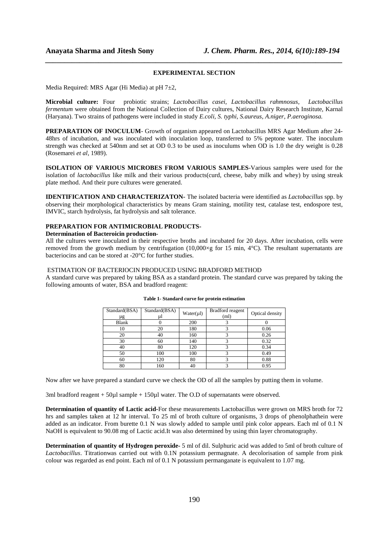# *\_\_\_\_\_\_\_\_\_\_\_\_\_\_\_\_\_\_\_\_\_\_\_\_\_\_\_\_\_\_\_\_\_\_\_\_\_\_\_\_\_\_\_\_\_\_\_\_\_\_\_\_\_\_\_\_\_\_\_\_\_\_\_\_\_\_\_\_\_\_\_\_\_\_\_\_\_\_* **EXPERIMENTAL SECTION**

Media Required: MRS Agar (Hi Media) at pH 7±2,

**Microbial culture:** Four probiotic strains; *Lactobacillus casei*, *Lactobacillus rahmnosus, Lactobacillus fermentum* were obtained from the National Collection of Dairy cultures, National Dairy Research Institute, Karnal (Haryana). Two strains of pathogens were included in study *E.coli, S. typhi, S.aureus, A.niger, P.aeroginosa.* 

**PREPARATION OF INOCULUM**- Growth of organism appeared on Lactobacillus MRS Agar Medium after 24- 48hrs of incubation, and was inoculated with inoculation loop, transferred to 5% peptone water. The inoculum strength was checked at 540nm and set at OD 0.3 to be used as inoculums when OD is 1.0 the dry weight is 0.28 (Rosemarei *et al*, 1989).

**ISOLATION OF VARIOUS MICROBES FROM VARIOUS SAMPLES**-Various samples were used for the isolation of *lactobacillus* like milk and their various products(curd, cheese, baby milk and whey) by using streak plate method. And their pure cultures were generated.

**IDENTIFICATION AND CHARACTERIZATON-** The isolated bacteria were identified as *Lactobacillus* spp. by observing their morphological characteristics by means Gram staining, motility test, catalase test, endospore test, IMVIC, starch hydrolysis, fat hydrolysis and salt tolerance.

# **PREPARATION FOR ANTIMICROBIAL PRODUCTS-**

#### **Determination of Bacteroicin production-**

All the cultures were inoculated in their respective broths and incubated for 20 days. After incubation, cells were removed from the growth medium by centrifugation  $(10,000\times g)$  for 15 min, 4°C). The resultant supernatants are bacteriocins and can be stored at -20°C for further studies.

### ESTIMATION OF BACTERIOCIN PRODUCED USING BRADFORD METHOD

A standard curve was prepared by taking BSA as a standard protein. The standard curve was prepared by taking the following amounts of water, BSA and bradford reagent:

| Standard(BSA)<br>μg | Standard(BSA)<br>ul | Water(µ) | Bradford reagent<br>(ml) | Optical density |
|---------------------|---------------------|----------|--------------------------|-----------------|
| <b>Blank</b>        |                     | 200      |                          |                 |
| 10                  | 20                  | 180      |                          | 0.06            |
| 20                  | 40                  | 160      |                          | 0.26            |
| 30                  | 60                  | 140      |                          | 0.32            |
| 40                  | 80                  | 120      |                          | 0.34            |
| 50                  | 100                 | 100      |                          | 0.49            |
| 60                  | 120                 | 80       |                          | 0.88            |
| 80                  | 160                 | 40       |                          | 0.95            |

#### **Table 1- Standard curve for protein estimation**

Now after we have prepared a standard curve we check the OD of all the samples by putting them in volume.

3ml bradford reagent + 50µl sample + 150µl water. The O.D of supernatants were observed.

**Determination of quantity of Lactic acid-**For these measurements Lactobacillus were grown on MRS broth for 72 hrs and samples taken at 12 hr interval. To 25 ml of broth culture of organisms, 3 drops of phenolphathein were added as an indicator. From burette 0.1 N was slowly added to sample until pink color appears. Each ml of 0.1 N NaOH is equivalent to 90.08 mg of Lactic acid.It was also determined by using thin layer chromatography.

**Determination of quantity of Hydrogen peroxide-** 5 ml of dil. Sulphuric acid was added to 5ml of broth culture of *Lactobacillus*. Titrationwas carried out with 0.1N potassium permagnate. A decolorisation of sample from pink colour was regarded as end point. Each ml of 0.1 N potassium permanganate is equivalent to 1.07 mg.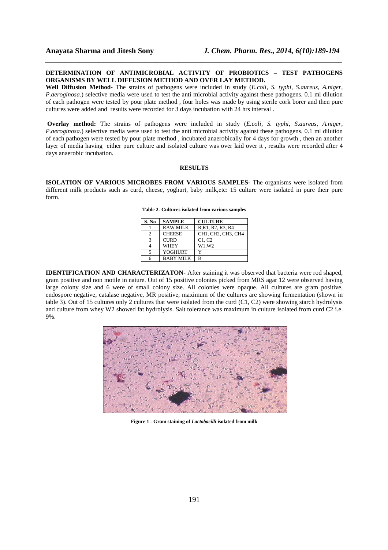## **DETERMINATION OF ANTIMICROBIAL ACTIVITY OF PROBIOTICS – TEST PATHOGENS ORGANISMS BY WELL DIFFUSION METHOD AND OVER LAY METHOD.**

*\_\_\_\_\_\_\_\_\_\_\_\_\_\_\_\_\_\_\_\_\_\_\_\_\_\_\_\_\_\_\_\_\_\_\_\_\_\_\_\_\_\_\_\_\_\_\_\_\_\_\_\_\_\_\_\_\_\_\_\_\_\_\_\_\_\_\_\_\_\_\_\_\_\_\_\_\_\_*

**Well Diffusion Method-** The strains of pathogens were included in study (*E.coli, S. typhi, S.aureus, A.niger, P.aeroginosa.*) selective media were used to test the anti microbial activity against these pathogens. 0.1 ml dilution of each pathogen were tested by pour plate method , four holes was made by using sterile cork borer and then pure cultures were added and results were recorded for 3 days incubation with 24 hrs interval .

 **Overlay method:** The strains of pathogens were included in study (*E.coli, S. typhi, S.aureus, A.niger, P.aeroginosa.*) selective media were used to test the anti microbial activity against these pathogens. 0.1 ml dilution of each pathogen were tested by pour plate method , incubated anaerobically for 4 days for growth , then an another layer of media having either pure culture and isolated culture was over laid over it , results were recorded after 4 days anaerobic incubation.

#### **RESULTS**

**ISOLATION OF VARIOUS MICROBES FROM VARIOUS SAMPLES-** The organisms were isolated from different milk products such as curd, cheese, yoghurt, baby milk,etc: 15 culture were isolated in pure their pure form.

| S. No | <b>SAMPLE</b>    | <b>CULTURE</b>     |
|-------|------------------|--------------------|
|       | <b>RAW MILK</b>  | R, R1, R2, R3, R4  |
| 2     | <b>CHEESE</b>    | CH1, CH2, CH3, CH4 |
| з     | <b>CURD</b>      | C1, C2             |
|       | <b>WHEY</b>      | W1.W2              |
|       | YOGHURT          |                    |
|       | <b>BABY MILK</b> | в                  |

**Table 2- Cultures isolated from various samples** 

**IDENTIFICATION AND CHARACTERIZATON-** After staining it was observed that bacteria were rod shaped, gram positive and non motile in nature. Out of 15 positive colonies picked from MRS agar 12 were observed having large colony size and 6 were of small colony size. All colonies were opaque. All cultures are gram positive, endospore negative, catalase negative, MR positive, maximum of the cultures are showing fermentation (shown in table 3). Out of 15 cultures only 2 cultures that were isolated from the curd (C1, C2) were showing starch hydrolysis and culture from whey W2 showed fat hydrolysis. Salt tolerance was maximum in culture isolated from curd C2 i.e. 9%.



**Figure 1 - Gram staining of** *Lactobacilli* **isolated from milk**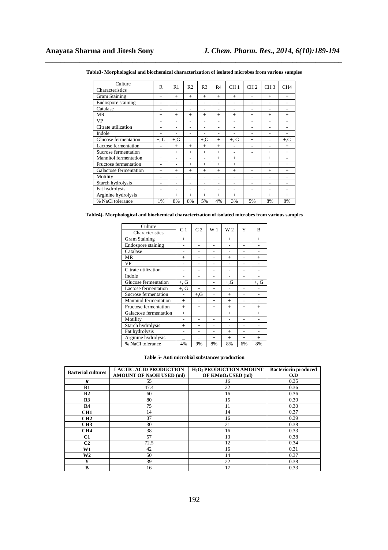| Culture                      | R              | R1     | R <sub>2</sub>           | R <sub>3</sub>           | R <sub>4</sub>           | CH <sub>1</sub>          | CH <sub>2</sub>          | CH <sub>3</sub> | CH4                      |
|------------------------------|----------------|--------|--------------------------|--------------------------|--------------------------|--------------------------|--------------------------|-----------------|--------------------------|
| Characteristics              |                |        |                          |                          |                          |                          |                          |                 |                          |
| Gram Staining                | $+$            | $^{+}$ | $+$                      | $+$                      | $^{+}$                   | $^{+}$                   | $^{+}$                   | $+$             | $+$                      |
| Endospore staining           | ۰              | ۰      | $\overline{\phantom{0}}$ | ۰                        | $\overline{a}$           | $\overline{\phantom{0}}$ | $\overline{a}$           | $\overline{a}$  |                          |
| Catalase                     | $\overline{a}$ | ۰      | -                        | $\overline{\phantom{0}}$ | $\overline{\phantom{0}}$ | ۰                        | $\overline{a}$           | ۰               | ۰                        |
| MR                           | $+$            | $^{+}$ | $+$                      | $^{+}$                   | $^{+}$                   | $^{+}$                   | $^{+}$                   | $^{+}$          | $^{+}$                   |
| VP                           |                |        |                          | ۰                        | $\overline{a}$           | $\overline{a}$           | $\overline{a}$           |                 |                          |
| Citrate utilization          |                |        | -                        | ۰                        | -                        | -                        | $\overline{a}$           | ۰               | $\overline{\phantom{0}}$ |
| Indole                       |                |        |                          |                          | $\overline{a}$           | ۳                        | $\overline{a}$           | $\overline{a}$  | $\overline{a}$           |
| Glucose fermentation         | $+, G$         | $+$ ,G | $\overline{\phantom{0}}$ | $+$ ,G                   | $^{+}$                   | $+, G$                   | $^{+}$                   | $\overline{a}$  | $+, G$                   |
| Lactose fermentation         | ÷              | $^{+}$ | $+$                      | $+$                      | $^{+}$                   | $\overline{\phantom{0}}$ | $\overline{a}$           | $\overline{a}$  | $+$                      |
| Sucrose fermentation         | $^{+}$         | $^{+}$ | $+$                      | $^{+}$                   | $^{+}$                   | $\overline{\phantom{0}}$ | $\overline{\phantom{a}}$ | $^{+}$          | $^{+}$                   |
| <b>Mannitol</b> fermentation | $+$            |        |                          | ۰                        | $^{+}$                   | $^{+}$                   | $^{+}$                   | $^{+}$          |                          |
| Fructose fermentation        | $\overline{a}$ |        | $+$                      | $^{+}$                   | $^{+}$                   | $^{+}$                   | $^{+}$                   | $^{+}$          | $^{+}$                   |
| Galactose fermentation       | $^{+}$         | $^{+}$ | $+$                      | $^{+}$                   | $^{+}$                   | $^{+}$                   | $^{+}$                   | $^{+}$          | $^{+}$                   |
| Motility                     | $\overline{a}$ |        |                          | $\overline{\phantom{0}}$ | $\overline{\phantom{0}}$ | $\overline{\phantom{0}}$ | $\overline{a}$           | ۰               | ۰                        |
| Starch hydrolysis            |                |        |                          | ۰                        | $\overline{a}$           | $\overline{\phantom{0}}$ | $\overline{a}$           | ۰               | $\overline{a}$           |
| Fat hydrolysis               |                |        | $\overline{\phantom{0}}$ | ۳                        | $\overline{a}$           | ۳                        | $\overline{a}$           |                 |                          |
| Arginine hydrolysis          | $^{+}$         | $^{+}$ | $^{+}$                   | $^{+}$                   | $^{+}$                   | $^{+}$                   | $^{+}$                   | $^{+}$          | $^{+}$                   |
| % NaCl tolerance             | 1%             | 8%     | 8%                       | 5%                       | 4%                       | 3%                       | 5%                       | 8%              | 8%                       |

*\_\_\_\_\_\_\_\_\_\_\_\_\_\_\_\_\_\_\_\_\_\_\_\_\_\_\_\_\_\_\_\_\_\_\_\_\_\_\_\_\_\_\_\_\_\_\_\_\_\_\_\_\_\_\_\_\_\_\_\_\_\_\_\_\_\_\_\_\_\_\_\_\_\_\_\_\_\_* **Table3- Morphological and biochemical characterization of isolated microbes from various samples** 

**Table4)- Morphological and biochemical characterization of isolated microbes from various samples** 

| Culture                      | C <sub>1</sub> | C <sub>2</sub> | W <sub>1</sub> | W <sub>2</sub> | Y      | B      |
|------------------------------|----------------|----------------|----------------|----------------|--------|--------|
| Characteristics              |                |                |                |                |        |        |
| <b>Gram Staining</b>         | $^{+}$         | $^{+}$         | $^{+}$         | $^{+}$         | $^{+}$ | $^{+}$ |
| <b>Endospore</b> staining    |                |                |                |                |        |        |
| Catalase                     |                |                |                |                |        |        |
| MR                           | $^{+}$         | $^{+}$         | $^{+}$         | $^{+}$         | $^{+}$ | $^{+}$ |
| <b>VP</b>                    |                |                |                |                |        |        |
| Citrate utilization          |                |                | -              |                |        |        |
| Indole                       |                |                |                |                |        |        |
| Glucose fermentation         | $+, G$         | $^{+}$         |                | $+$ , G        | $^{+}$ | $+, G$ |
| Lactose fermentation         | $+, G$         | $^{+}$         | $^{+}$         |                |        |        |
| Sucrose fermentation         |                | $+$ ,G         | $^{+}$         | $^{+}$         | $^{+}$ |        |
| <b>Mannitol</b> fermentation | $^{+}$         |                | $^{+}$         | $^{+}$         |        |        |
| Fructose fermentation        | $^{+}$         | $^{+}$         | $^{+}$         | $^{+}$         | $^{+}$ | $^{+}$ |
| Galactose fermentation       | $^{+}$         | $^{+}$         | $^{+}$         | $^{+}$         | $^{+}$ | $^{+}$ |
| Motility                     |                |                |                |                |        |        |
| Starch hydrolysis            | $^{+}$         | $^{+}$         |                |                |        |        |
| Fat hydrolysis               |                |                |                | $^{+}$         |        |        |
| Arginine hydrolysis          |                |                | $^{+}$         | $^{+}$         | $^{+}$ | $^{+}$ |
| % NaCl tolerance             | 4%             | 9%             | 8%             | 8%             | 6%     | 8%     |

**Table 5- Anti microbial substances production** 

| <b>Bacterial cultures</b> | <b>LACTIC ACID PRODUCTION</b>   | H <sub>2</sub> O <sub>2</sub> PRODUCTION AMOUNT | <b>Bacteriocin produced</b> |
|---------------------------|---------------------------------|-------------------------------------------------|-----------------------------|
|                           | <b>AMOUNT OF NaOH USED (ml)</b> | OF KMnO4 USED (ml)                              | O.D                         |
| R                         | 55                              | 16                                              | 0.35                        |
| $\mathbf{R}1$             | 47.4                            | 22                                              | 0.36                        |
| R <sub>2</sub>            | 60                              | 16                                              | 0.36                        |
| R <sub>3</sub>            | 80                              | 15                                              | 0.30                        |
| R <sub>4</sub>            | 75                              | 11                                              | 0.30                        |
| CH <sub>1</sub>           | 14                              | 14                                              | 0.37                        |
| CH <sub>2</sub>           | 37                              | 16                                              | 0.39                        |
| CH3                       | 30                              | 21                                              | 0.38                        |
| CH <sub>4</sub>           | 38                              | 16                                              | 0.33                        |
| C <sub>1</sub>            | 57                              | 13                                              | 0.38                        |
| C <sub>2</sub>            | 72.5                            | 12                                              | 0.34                        |
| W1                        | 42                              | 16                                              | 0.31                        |
| W <sub>2</sub>            | 50                              | 14                                              | 0.37                        |
| Y                         | 39                              | 22                                              | 0.38                        |
| B                         | 16                              | 17                                              | 0.33                        |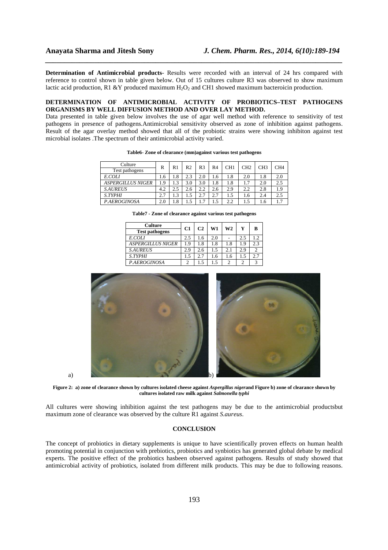**Determination of Antimicrobial products**- Results were recorded with an interval of 24 hrs compared with reference to control shown in table given below. Out of 15 cultures culture R3 was observed to show maximum lactic acid production, R1 &Y produced maximum  $H_2O_2$  and CH1 showed maximum bacteroicin production.

*\_\_\_\_\_\_\_\_\_\_\_\_\_\_\_\_\_\_\_\_\_\_\_\_\_\_\_\_\_\_\_\_\_\_\_\_\_\_\_\_\_\_\_\_\_\_\_\_\_\_\_\_\_\_\_\_\_\_\_\_\_\_\_\_\_\_\_\_\_\_\_\_\_\_\_\_\_\_*

#### **DETERMINATION OF ANTIMICROBIAL ACTIVITY OF PROBIOTICS–TEST PATHOGENS ORGANISMS BY WELL DIFFUSION METHOD AND OVER LAY METHOD.**

Data presented in table given below involves the use of agar well method with reference to sensitivity of test pathogens in presence of pathogens.Antimicrobial sensitivity observed as zone of inhibition against pathogens. Result of the agar overlay method showed that all of the probiotic strains were showing inhibiton against test microbial isolates .The spectrum of their antimicrobial activity varied.

| Culture<br>Test pathogens | R                    | R1  | R2  | R3  | R4  | CH <sub>1</sub> | CH2 | CH3 | CH4 |
|---------------------------|----------------------|-----|-----|-----|-----|-----------------|-----|-----|-----|
| E.COLI                    | 1.6                  | 1.8 | 2.3 | 2.0 | 1.6 | 1.8             | 2.0 | 1.8 | 2.0 |
| <b>ASPERGILLUS NIGER</b>  | 1.9                  | 1.3 | 3.0 | 3.0 | 1.8 | 1.8             | 1.7 | 2.0 | 2.5 |
| <b>S.AUREUS</b>           | 4.2                  | 2.5 | 2.6 | 2.2 | 2.6 | 2.9             | 2.2 | 2.8 | 1.9 |
| <b>S.TYPHI</b>            | $\mathcal{L}$<br>2.1 | 1.3 |     | 2.7 | 2.7 | 1.5             | 1.6 | 2.4 | 2.5 |
| P.AEROGINOSA              | 2.0                  | 1.8 |     | 7   |     | 2.2             | 1.5 | 1.6 | 1.7 |

**Table6- Zone of clearance (mm)against various test pathogens** 

| <b>Test pathogens</b>    |     |     |     |     |     |     |
|--------------------------|-----|-----|-----|-----|-----|-----|
| E.COLI                   | 2.5 | .6  | 2.0 |     | 2.5 |     |
| <b>ASPERGILLUS NIGER</b> | 19  | 1.8 | 1.8 | 1.8 | 1.9 | 2.3 |
| <b>S.AUREUS</b>          | 2.9 | 2.6 |     |     | 2.9 |     |
| <b>S.TYPHI</b>           | .5  | 2.7 | 1.6 | 1.6 |     | 2.7 |
| P.AEROGINOSA             |     | 1.5 |     |     |     |     |

**Table7 - Zone of clearance against various test pathogens** 

**Culture C1 C2 W1 W2 Y B Test pathogens** 



**Figure 2: a) zone of clearance shown by cultures isolated cheese against** *Aspergillus niger***and Figure b) zone of clearance shown by cultures isolated raw milk against** *Salmonella typhi* 

All cultures were showing inhibition against the test pathogens may be due to the antimicrobial productsbut maximum zone of clearance was observed by the culture R1 against *S.aureus*.

## **CONCLUSION**

The concept of probiotics in dietary supplements is unique to have scientifically proven effects on human health promoting potential in conjunction with prebiotics, probiotics and synbiotics has generated global debate by medical experts. The positive effect of the probiotics hasbeen observed against pathogens. Results of study showed that antimicrobial activity of probiotics, isolated from different milk products. This may be due to following reasons.